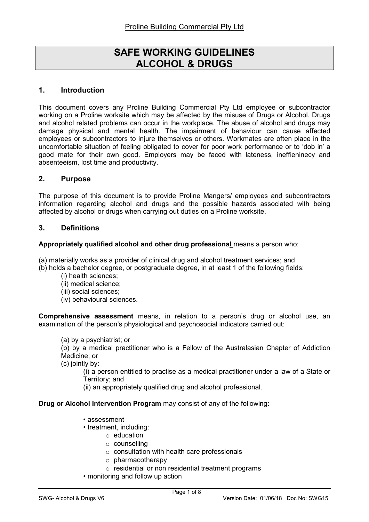# SAFE WORKING GUIDELINES ALCOHOL & DRUGS

# 1. Introduction

This document covers any Proline Building Commercial Pty Ltd employee or subcontractor working on a Proline worksite which may be affected by the misuse of Drugs or Alcohol. Drugs and alcohol related problems can occur in the workplace. The abuse of alcohol and drugs may damage physical and mental health. The impairment of behaviour can cause affected employees or subcontractors to injure themselves or others. Workmates are often place in the uncomfortable situation of feeling obligated to cover for poor work performance or to 'dob in' a good mate for their own good. Employers may be faced with lateness, ineffieninecy and absenteeism, lost time and productivity.

# 2. Purpose

The purpose of this document is to provide Proline Mangers/ employees and subcontractors information regarding alcohol and drugs and the possible hazards associated with being affected by alcohol or drugs when carrying out duties on a Proline worksite.

### 3. Definitions

#### Appropriately qualified alcohol and other drug professional means a person who:

(a) materially works as a provider of clinical drug and alcohol treatment services; and

- (b) holds a bachelor degree, or postgraduate degree, in at least 1 of the following fields:
	- (i) health sciences;
	- (ii) medical science;
	- (iii) social sciences;
	- (iv) behavioural sciences.

Comprehensive assessment means, in relation to a person's drug or alcohol use, an examination of the person's physiological and psychosocial indicators carried out:

#### (a) by a psychiatrist; or

(b) by a medical practitioner who is a Fellow of the Australasian Chapter of Addiction Medicine; or

(c) jointly by:

(i) a person entitled to practise as a medical practitioner under a law of a State or Territory; and

(ii) an appropriately qualified drug and alcohol professional.

#### Drug or Alcohol Intervention Program may consist of any of the following:

- assessment
- treatment, including:
	- o education
	- o counselling
	- o consultation with health care professionals
	- o pharmacotherapy
	- o residential or non residential treatment programs
- monitoring and follow up action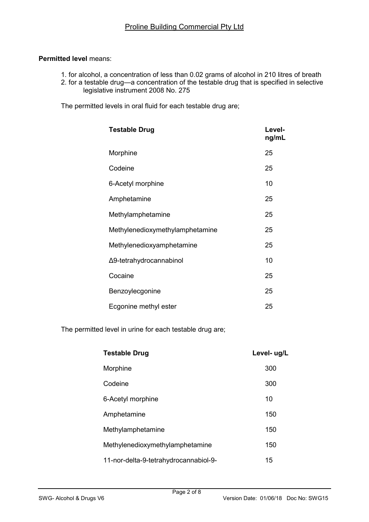### Permitted level means:

- 1. for alcohol, a concentration of less than 0.02 grams of alcohol in 210 litres of breath
- 2. for a testable drug—a concentration of the testable drug that is specified in selective legislative instrument 2008 No. 275

The permitted levels in oral fluid for each testable drug are;

| <b>Testable Drug</b>            | Level-<br>ng/mL |
|---------------------------------|-----------------|
| Morphine                        | 25              |
| Codeine                         | 25              |
| 6-Acetyl morphine               | 10              |
| Amphetamine                     | 25              |
| Methylamphetamine               | 25              |
| Methylenedioxymethylamphetamine | 25              |
| Methylenedioxyamphetamine       | 25              |
| Δ9-tetrahydrocannabinol         | 10              |
| Cocaine                         | 25              |
| Benzoylecgonine                 | 25              |
| Ecgonine methyl ester           | 25              |

The permitted level in urine for each testable drug are;

| <b>Testable Drug</b>                  | Level- ug/L |
|---------------------------------------|-------------|
| Morphine                              | 300         |
| Codeine                               | 300         |
| 6-Acetyl morphine                     | 10          |
| Amphetamine                           | 150         |
| Methylamphetamine                     | 150         |
| Methylenedioxymethylamphetamine       | 150         |
| 11-nor-delta-9-tetrahydrocannabiol-9- | 15          |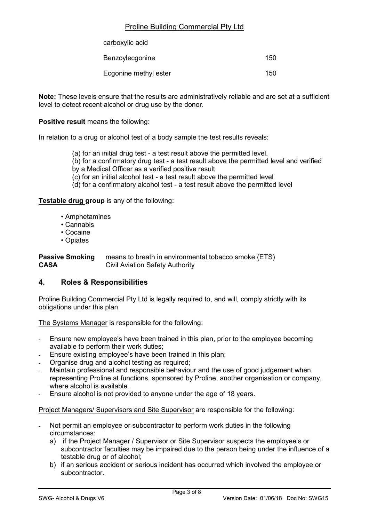| carboxylic acid       |     |
|-----------------------|-----|
| Benzoylecgonine       | 150 |
| Ecgonine methyl ester | 150 |

Note: These levels ensure that the results are administratively reliable and are set at a sufficient level to detect recent alcohol or drug use by the donor.

Positive result means the following:

In relation to a drug or alcohol test of a body sample the test results reveals:

- (a) for an initial drug test a test result above the permitted level.
- (b) for a confirmatory drug test a test result above the permitted level and verified
- by a Medical Officer as a verified positive result
- (c) for an initial alcohol test a test result above the permitted level
- (d) for a confirmatory alcohol test a test result above the permitted level

Testable drug group is any of the following:

- Amphetamines
- Cannabis
- Cocaine
- Opiates

**Passive Smoking** means to breath in environmental tobacco smoke (ETS) CASA Civil Aviation Safety Authority

#### 4. Roles & Responsibilities

Proline Building Commercial Pty Ltd is legally required to, and will, comply strictly with its obligations under this plan.

The Systems Manager is responsible for the following:

- Ensure new employee's have been trained in this plan, prior to the employee becoming available to perform their work duties;
- Ensure existing employee's have been trained in this plan;
- Organise drug and alcohol testing as required;
- Maintain professional and responsible behaviour and the use of good judgement when representing Proline at functions, sponsored by Proline, another organisation or company, where alcohol is available.
- Ensure alcohol is not provided to anyone under the age of 18 years.

Project Managers/ Supervisors and Site Supervisor are responsible for the following:

- Not permit an employee or subcontractor to perform work duties in the following circumstances:
	- a) if the Project Manager / Supervisor or Site Supervisor suspects the employee's or subcontractor faculties may be impaired due to the person being under the influence of a testable drug or of alcohol;
	- b) if an serious accident or serious incident has occurred which involved the employee or subcontractor.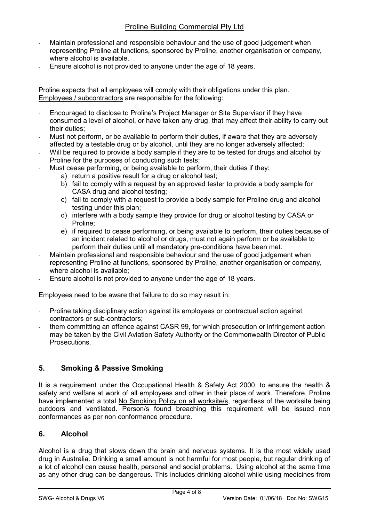- Maintain professional and responsible behaviour and the use of good judgement when representing Proline at functions, sponsored by Proline, another organisation or company, where alcohol is available.
- Ensure alcohol is not provided to anyone under the age of 18 years.

Proline expects that all employees will comply with their obligations under this plan. Employees / subcontractors are responsible for the following:

- Encouraged to disclose to Proline's Project Manager or Site Supervisor if they have consumed a level of alcohol, or have taken any drug, that may affect their ability to carry out their duties;
- Must not perform, or be available to perform their duties, if aware that they are adversely affected by a testable drug or by alcohol, until they are no longer adversely affected;
- Will be required to provide a body sample if they are to be tested for drugs and alcohol by Proline for the purposes of conducting such tests;
- Must cease performing, or being available to perform, their duties if they:
	- a) return a positive result for a drug or alcohol test;
	- b) fail to comply with a request by an approved tester to provide a body sample for CASA drug and alcohol testing;
	- c) fail to comply with a request to provide a body sample for Proline drug and alcohol testing under this plan;
	- d) interfere with a body sample they provide for drug or alcohol testing by CASA or Proline;
	- e) if required to cease performing, or being available to perform, their duties because of an incident related to alcohol or drugs, must not again perform or be available to perform their duties until all mandatory pre-conditions have been met.
- Maintain professional and responsible behaviour and the use of good judgement when representing Proline at functions, sponsored by Proline, another organisation or company, where alcohol is available:
- Ensure alcohol is not provided to anyone under the age of 18 years.

Employees need to be aware that failure to do so may result in:

- Proline taking disciplinary action against its employees or contractual action against contractors or sub-contractors;
- them committing an offence against CASR 99, for which prosecution or infringement action may be taken by the Civil Aviation Safety Authority or the Commonwealth Director of Public Prosecutions.

# 5. Smoking & Passive Smoking

It is a requirement under the Occupational Health & Safety Act 2000, to ensure the health & safety and welfare at work of all employees and other in their place of work. Therefore, Proline have implemented a total No Smoking Policy on all worksite/s, regardless of the worksite being outdoors and ventilated. Person/s found breaching this requirement will be issued non conformances as per non conformance procedure.

# 6. Alcohol

Alcohol is a drug that slows down the brain and nervous systems. It is the most widely used drug in Australia. Drinking a small amount is not harmful for most people, but regular drinking of a lot of alcohol can cause health, personal and social problems. Using alcohol at the same time as any other drug can be dangerous. This includes drinking alcohol while using medicines from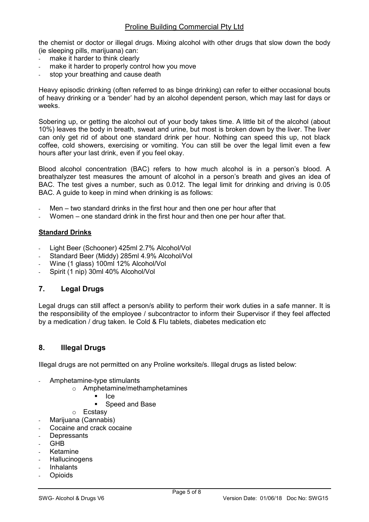the chemist or doctor or illegal drugs. Mixing alcohol with other drugs that slow down the body (ie sleeping pills, marijuana) can:

- make it harder to think clearly
- make it harder to properly control how you move
- stop your breathing and cause death

Heavy episodic drinking (often referred to as binge drinking) can refer to either occasional bouts of heavy drinking or a 'bender' had by an alcohol dependent person, which may last for days or weeks.

Sobering up, or getting the alcohol out of your body takes time. A little bit of the alcohol (about 10%) leaves the body in breath, sweat and urine, but most is broken down by the liver. The liver can only get rid of about one standard drink per hour. Nothing can speed this up, not black coffee, cold showers, exercising or vomiting. You can still be over the legal limit even a few hours after your last drink, even if you feel okay.

Blood alcohol concentration (BAC) refers to how much alcohol is in a person's blood. A breathalyzer test measures the amount of alcohol in a person's breath and gives an idea of BAC. The test gives a number, such as 0.012. The legal limit for drinking and driving is 0.05 BAC. A guide to keep in mind when drinking is as follows:

- $Men two standard drinks in the first hour and then one per hour after that$
- Women one standard drink in the first hour and then one per hour after that.

### Standard Drinks

- Light Beer (Schooner) 425ml 2.7% Alcohol/Vol
- Standard Beer (Middy) 285ml 4.9% Alcohol/Vol
- Wine (1 glass) 100ml 12% Alcohol/Vol
- Spirit (1 nip) 30ml 40% Alcohol/Vol

# 7. Legal Drugs

Legal drugs can still affect a person/s ability to perform their work duties in a safe manner. It is the responsibility of the employee / subcontractor to inform their Supervisor if they feel affected by a medication / drug taken. Ie Cold & Flu tablets, diabetes medication etc

# 8. Illegal Drugs

Illegal drugs are not permitted on any Proline worksite/s. Illegal drugs as listed below:

- Amphetamine-type stimulants
	- o Amphetamine/methamphetamines
		- $I$   $|ce$
		- **Speed and Base**
	- o Ecstasy
- Marijuana (Cannabis)
- Cocaine and crack cocaine
- Depressants
- GHB
- **Ketamine**
- **Hallucinogens**
- **Inhalants**
- **Opioids**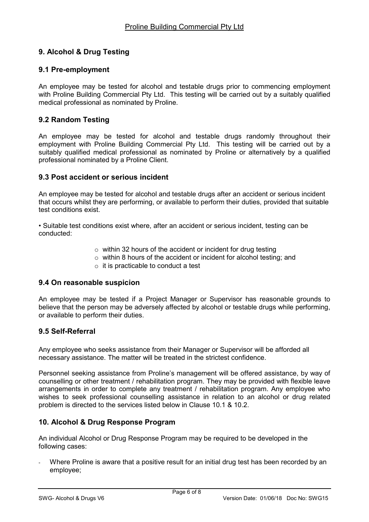# 9. Alcohol & Drug Testing

# 9.1 Pre-employment

An employee may be tested for alcohol and testable drugs prior to commencing employment with Proline Building Commercial Pty Ltd. This testing will be carried out by a suitably qualified medical professional as nominated by Proline.

# 9.2 Random Testing

An employee may be tested for alcohol and testable drugs randomly throughout their employment with Proline Building Commercial Pty Ltd. This testing will be carried out by a suitably qualified medical professional as nominated by Proline or alternatively by a qualified professional nominated by a Proline Client.

# 9.3 Post accident or serious incident

An employee may be tested for alcohol and testable drugs after an accident or serious incident that occurs whilst they are performing, or available to perform their duties, provided that suitable test conditions exist.

• Suitable test conditions exist where, after an accident or serious incident, testing can be conducted:

- $\circ$  within 32 hours of the accident or incident for drug testing
- o within 8 hours of the accident or incident for alcohol testing; and
	- $\circ$  it is practicable to conduct a test

#### 9.4 On reasonable suspicion

An employee may be tested if a Project Manager or Supervisor has reasonable grounds to believe that the person may be adversely affected by alcohol or testable drugs while performing, or available to perform their duties.

#### 9.5 Self-Referral

Any employee who seeks assistance from their Manager or Supervisor will be afforded all necessary assistance. The matter will be treated in the strictest confidence.

Personnel seeking assistance from Proline's management will be offered assistance, by way of counselling or other treatment / rehabilitation program. They may be provided with flexible leave arrangements in order to complete any treatment / rehabilitation program. Any employee who wishes to seek professional counselling assistance in relation to an alcohol or drug related problem is directed to the services listed below in Clause 10.1 & 10.2.

# 10. Alcohol & Drug Response Program

An individual Alcohol or Drug Response Program may be required to be developed in the following cases:

Where Proline is aware that a positive result for an initial drug test has been recorded by an employee;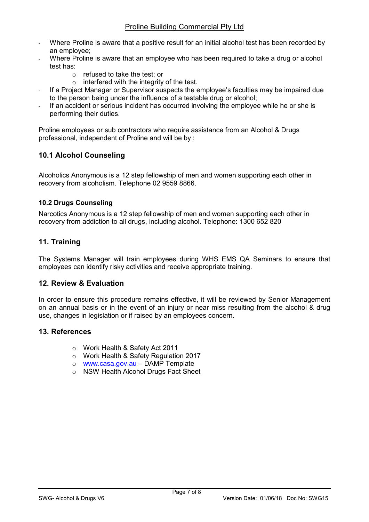- Where Proline is aware that a positive result for an initial alcohol test has been recorded by an employee;
- Where Proline is aware that an employee who has been required to take a drug or alcohol test has:
	- o refused to take the test; or
	- $\circ$  interfered with the integrity of the test.
- If a Project Manager or Supervisor suspects the employee's faculties may be impaired due to the person being under the influence of a testable drug or alcohol;
- If an accident or serious incident has occurred involving the employee while he or she is performing their duties.

Proline employees or sub contractors who require assistance from an Alcohol & Drugs professional, independent of Proline and will be by :

# 10.1 Alcohol Counseling

Alcoholics Anonymous is a 12 step fellowship of men and women supporting each other in recovery from alcoholism. Telephone 02 9559 8866.

# 10.2 Drugs Counseling

Narcotics Anonymous is a 12 step fellowship of men and women supporting each other in recovery from addiction to all drugs, including alcohol. Telephone: 1300 652 820

# 11. Training

The Systems Manager will train employees during WHS EMS QA Seminars to ensure that employees can identify risky activities and receive appropriate training.

# 12. Review & Evaluation

In order to ensure this procedure remains effective, it will be reviewed by Senior Management on an annual basis or in the event of an injury or near miss resulting from the alcohol & drug use, changes in legislation or if raised by an employees concern.

# 13. References

- o Work Health & Safety Act 2011
- o Work Health & Safety Regulation 2017
- o www.casa.gov.au DAMP Template
- o NSW Health Alcohol Drugs Fact Sheet